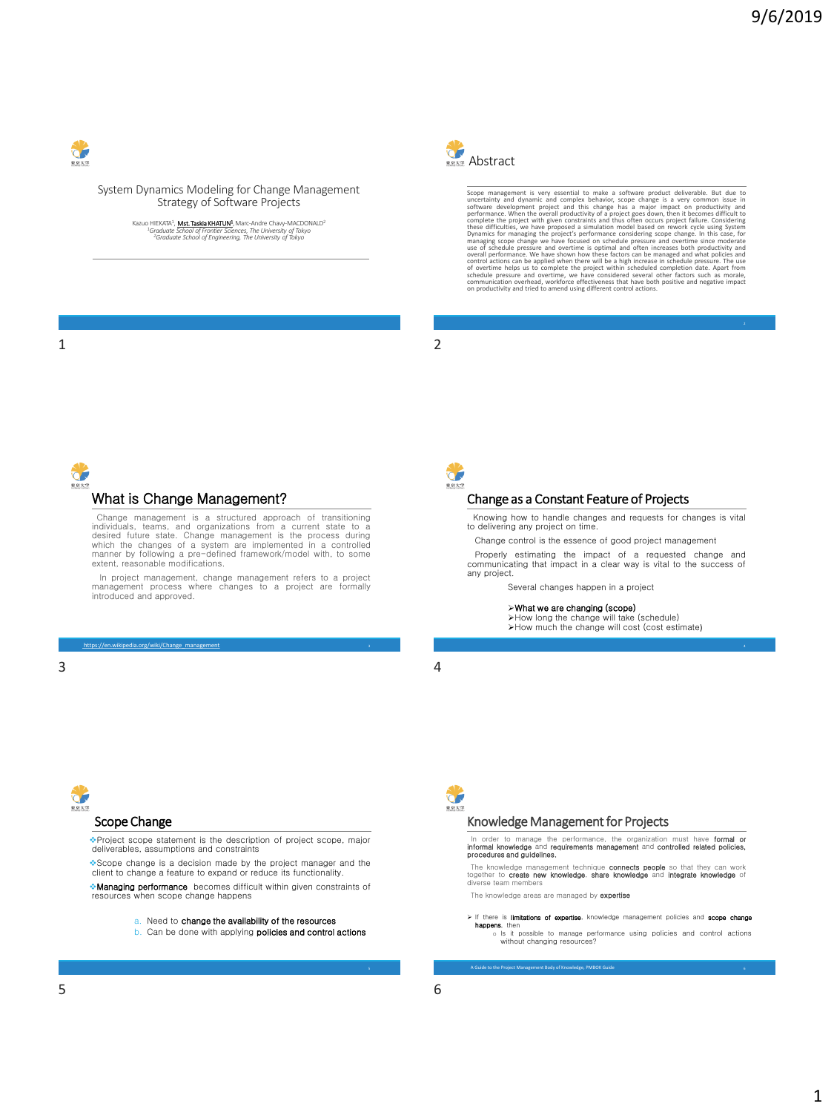

### System Dynamics Modeling for Change Management Strategy of Software Projects

Kazuo HIEKATA<sup>1</sup>, <mark>Mst. Taskia KHATUN<sup>1</sup>,</mark> Marc-Andre Chavy-MACDONALD<sup>2</sup><br><sup>1</sup>Graduate School of Frontier Sciences, The University of Tokyo<br><sup>2</sup>Graduate School of Engineering, The University of Tokyo



Scope management is very essential to make a software product deliverable. But due to<br>such that a management is registed to make a software product deliverable. But due to performance. When the overall productivity of a pr



**OF** What is Change Management?

Change management is a structured approach of transitioning<br>individuals, teams, and organizations from a current state to a<br>desired future state. Change management is the process during<br>which the changes of a system are im

In project management, change management refers to a project management process where changes to a project are formally introduced and approved.

# ps://en.wikipedia.org/wiki/Change\_man  $3 \hspace{2.5cm} 4$



## Change as a Constant Feature of Projects

❑ Knowing how to handle changes and requests for changes is vital to delivering any project on time.

❑ Change control is the essence of good project management

Properly estimating the impact of a requested change and communicating that impact in a clear way is vital to the success of any project.

Several changes happen in a project

➢What we are changing (scope)

➢How long the change will take (schedule) ➢How much the change will cost (cost estimate)



❖Project scope statement is the description of project scope, major deliverables, assumptions and constraints

❖Scope change is a decision made by the project manager and the client to change a feature to expand or reduce its functionality.

◆Managing performance becomes difficult within given constraints of resources when scope change happens resources change happens

- a. Need to change the availability of the resources
- b. Can be done with applying policies and control actions



## Knowledge Management for Projects

In order to manage the performance, the organization must have formal or<br>informal knowledge and requirements management and controlled related policies,<br>procedures and guidelines.

The knowledge management technique connects people so that they can work<br>together to create new knowledge, share knowledge and integrate knowledge of<br>diverse team members

The knowledge areas are managed by expertise

➢ If there is limitations of expertise, knowledge management policies and scope change happens, then<br>o Is it possible to manage performance using policies and control actions<br>without changing resources?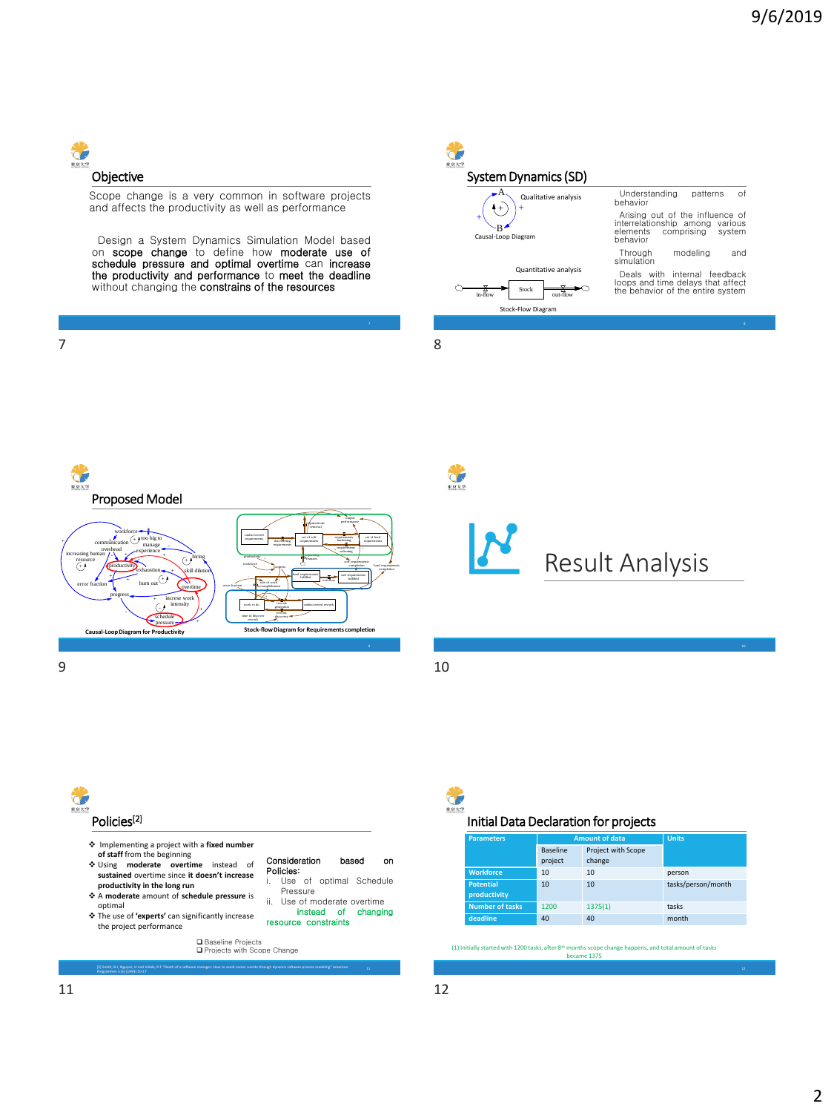

#### Scope change is a very common in software projects and affects the productivity as well as performance

➢Design a System Dynamics Simulation Model based on scope change to define how moderate use of schedule pressure and optimal overtime can increase the productivity and performance to meet the deadline without changing the constrains of the resources



Understanding patterns of behavior

❖Arising out of the influence of interrelationship among various elements comprising system elements<br>behavior

❖Through modeling and simulation

❖Deals with internal feedback loops and time delays that affect the behavior of the entire system

7 8



# $\frac{1}{2}$





- ❖ Implementing a project with a **fixed number of staff** from the beginning ❖ Using **moderate overtime** instead of
- **sustained** overtime since **it doesn't increase productivity in the long run**
- ❖ A **moderate** amount of **schedule pressure** is
- optimal ❖ The use of **'experts'** can significantly increase the project performance

resource constraints ❑ Baseline Projects ❑ Projects with Scope Change

[2] Smith, B J, Nguyen, H and Vidale, R F "Death of a software manager: How to avoid career suicide through dynamic software process modeling" American

Policies:

Pressure ii. Use of moderate overtime instead of changing

Consideration based on

use of optimal Schedule



## Initial Data Declaration for projects

| <b>Parameters</b>                | <b>Amount of data</b>      |                              | <b>Units</b>       |
|----------------------------------|----------------------------|------------------------------|--------------------|
|                                  | <b>Baseline</b><br>project | Project with Scope<br>change |                    |
| <b>Workforce</b>                 | 10 <sup>1</sup>            | 10                           | person             |
| <b>Potential</b><br>productivity | 10 <sup>1</sup>            | 10 <sup>1</sup>              | tasks/person/month |
| <b>Number of tasks</b>           | 1200                       | 1375(1)                      | tasks              |
| deadline                         | 40                         | 40                           | month              |

(1) Initially started with 1200 tasks, after 8<sup>th</sup> months scope change happens, and total amount of tasks became 1375